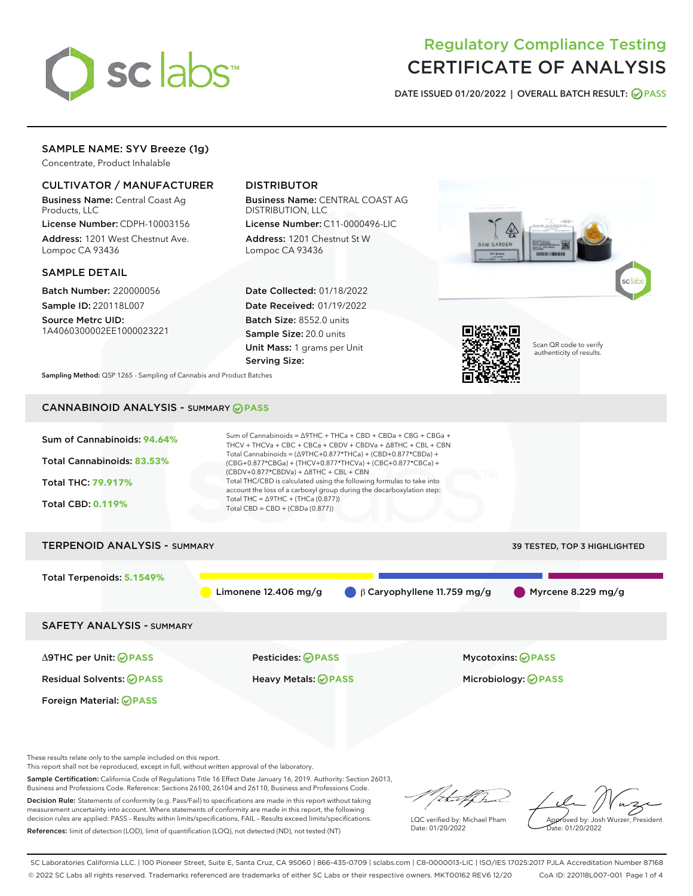

# Regulatory Compliance Testing CERTIFICATE OF ANALYSIS

DATE ISSUED 01/20/2022 | OVERALL BATCH RESULT: @ PASS

# SAMPLE NAME: SYV Breeze (1g)

Concentrate, Product Inhalable

# CULTIVATOR / MANUFACTURER

Business Name: Central Coast Ag Products, LLC

License Number: CDPH-10003156 Address: 1201 West Chestnut Ave. Lompoc CA 93436

### SAMPLE DETAIL

Batch Number: 220000056 Sample ID: 220118L007

Source Metrc UID: 1A4060300002EE1000023221

# DISTRIBUTOR

Business Name: CENTRAL COAST AG DISTRIBUTION, LLC

License Number: C11-0000496-LIC Address: 1201 Chestnut St W Lompoc CA 93436

Date Collected: 01/18/2022 Date Received: 01/19/2022 Batch Size: 8552.0 units Sample Size: 20.0 units Unit Mass: 1 grams per Unit Serving Size:





Scan QR code to verify authenticity of results.

Sampling Method: QSP 1265 - Sampling of Cannabis and Product Batches

# CANNABINOID ANALYSIS - SUMMARY **PASS**



These results relate only to the sample included on this report.

This report shall not be reproduced, except in full, without written approval of the laboratory.

Sample Certification: California Code of Regulations Title 16 Effect Date January 16, 2019. Authority: Section 26013, Business and Professions Code. Reference: Sections 26100, 26104 and 26110, Business and Professions Code.

Decision Rule: Statements of conformity (e.g. Pass/Fail) to specifications are made in this report without taking measurement uncertainty into account. Where statements of conformity are made in this report, the following decision rules are applied: PASS – Results within limits/specifications, FAIL – Results exceed limits/specifications. References: limit of detection (LOD), limit of quantification (LOQ), not detected (ND), not tested (NT)

that f h

LQC verified by: Michael Pham Date: 01/20/2022

Approved by: Josh Wurzer, President ate: 01/20/2022

SC Laboratories California LLC. | 100 Pioneer Street, Suite E, Santa Cruz, CA 95060 | 866-435-0709 | sclabs.com | C8-0000013-LIC | ISO/IES 17025:2017 PJLA Accreditation Number 87168 © 2022 SC Labs all rights reserved. Trademarks referenced are trademarks of either SC Labs or their respective owners. MKT00162 REV6 12/20 CoA ID: 220118L007-001 Page 1 of 4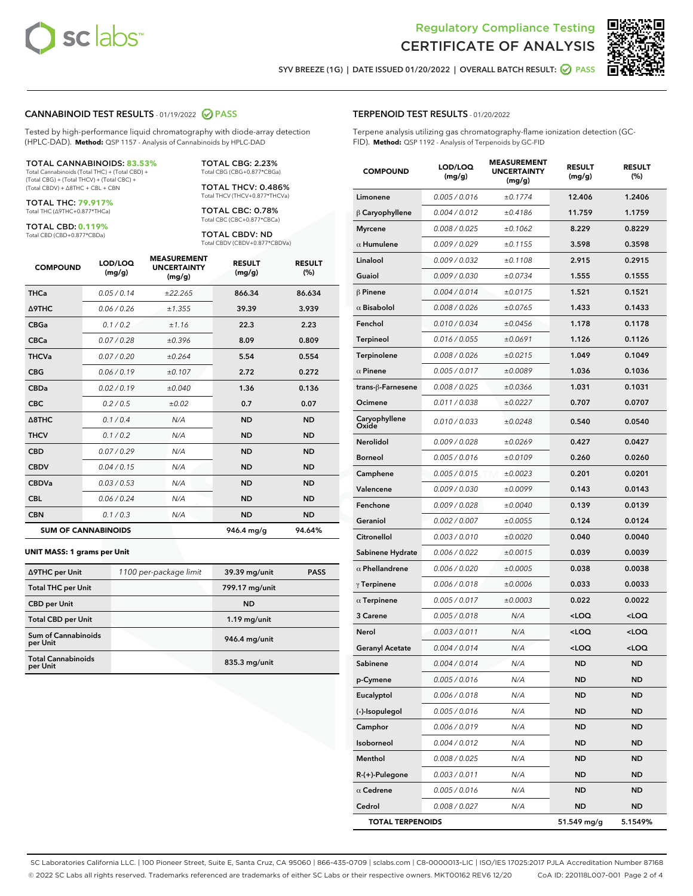



SYV BREEZE (1G) | DATE ISSUED 01/20/2022 | OVERALL BATCH RESULT: @ PASS

#### CANNABINOID TEST RESULTS - 01/19/2022 2 PASS

Tested by high-performance liquid chromatography with diode-array detection (HPLC-DAD). **Method:** QSP 1157 - Analysis of Cannabinoids by HPLC-DAD

#### TOTAL CANNABINOIDS: **83.53%**

Total Cannabinoids (Total THC) + (Total CBD) + (Total CBG) + (Total THCV) + (Total CBC) + (Total CBDV) + ∆8THC + CBL + CBN

TOTAL THC: **79.917%** Total THC (∆9THC+0.877\*THCa)

TOTAL CBD: **0.119%**

Total CBD (CBD+0.877\*CBDa)

TOTAL CBG: 2.23% Total CBG (CBG+0.877\*CBGa)

TOTAL THCV: 0.486% Total THCV (THCV+0.877\*THCVa)

TOTAL CBC: 0.78% Total CBC (CBC+0.877\*CBCa)

TOTAL CBDV: ND Total CBDV (CBDV+0.877\*CBDVa)

| <b>COMPOUND</b>  | LOD/LOQ<br>(mg/g)          | <b>MEASUREMENT</b><br><b>UNCERTAINTY</b><br>(mg/g) | <b>RESULT</b><br>(mg/g) | <b>RESULT</b><br>(%) |
|------------------|----------------------------|----------------------------------------------------|-------------------------|----------------------|
| <b>THCa</b>      | 0.05 / 0.14                | ±22.265                                            | 866.34                  | 86.634               |
| <b>A9THC</b>     | 0.06 / 0.26                | ±1.355                                             | 39.39                   | 3.939                |
| <b>CBGa</b>      | 0.1 / 0.2                  | ±1.16                                              | 22.3                    | 2.23                 |
| <b>CBCa</b>      | 0.07 / 0.28                | ±0.396                                             | 8.09                    | 0.809                |
| <b>THCVa</b>     | 0.07/0.20                  | ±0.264                                             | 5.54                    | 0.554                |
| <b>CBG</b>       | 0.06/0.19                  | ±0.107                                             | 2.72                    | 0.272                |
| <b>CBDa</b>      | 0.02/0.19                  | ±0.040                                             | 1.36                    | 0.136                |
| <b>CBC</b>       | 0.2 / 0.5                  | ±0.02                                              | 0.7                     | 0.07                 |
| $\triangle$ 8THC | 0.1/0.4                    | N/A                                                | <b>ND</b>               | <b>ND</b>            |
| <b>THCV</b>      | 0.1/0.2                    | N/A                                                | <b>ND</b>               | <b>ND</b>            |
| <b>CBD</b>       | 0.07/0.29                  | N/A                                                | <b>ND</b>               | <b>ND</b>            |
| <b>CBDV</b>      | 0.04 / 0.15                | N/A                                                | <b>ND</b>               | <b>ND</b>            |
| <b>CBDVa</b>     | 0.03 / 0.53                | N/A                                                | <b>ND</b>               | <b>ND</b>            |
| <b>CBL</b>       | 0.06 / 0.24                | N/A                                                | <b>ND</b>               | <b>ND</b>            |
| <b>CBN</b>       | 0.1/0.3                    | N/A                                                | <b>ND</b>               | <b>ND</b>            |
|                  | <b>SUM OF CANNABINOIDS</b> |                                                    | 946.4 mg/g              | 94.64%               |

#### **UNIT MASS: 1 grams per Unit**

| ∆9THC per Unit                        | 1100 per-package limit | 39.39 mg/unit   | <b>PASS</b> |
|---------------------------------------|------------------------|-----------------|-------------|
| <b>Total THC per Unit</b>             |                        | 799.17 mg/unit  |             |
| <b>CBD per Unit</b>                   |                        | <b>ND</b>       |             |
| <b>Total CBD per Unit</b>             |                        | $1.19$ mg/unit  |             |
| Sum of Cannabinoids<br>per Unit       |                        | 946.4 mg/unit   |             |
| <b>Total Cannabinoids</b><br>per Unit |                        | $835.3$ mg/unit |             |

| <b>COMPOUND</b>        | LOD/LOQ<br>(mg/g) | ASUREIVI<br><b>UNCERTAINTY</b><br>(mg/g) | <b>RESULT</b><br>(mg/g)                         | <b>RESULT</b><br>(%) |
|------------------------|-------------------|------------------------------------------|-------------------------------------------------|----------------------|
| Limonene               | 0.005 / 0.016     | ±0.1774                                  | 12.406                                          | 1.2406               |
| $\beta$ Caryophyllene  | 0.004 / 0.012     | ±0.4186                                  | 11.759                                          | 1.1759               |
| <b>Myrcene</b>         | 0.008 / 0.025     | ±0.1062                                  | 8.229                                           | 0.8229               |
| $\alpha$ Humulene      | 0.009/0.029       | ±0.1155                                  | 3.598                                           | 0.3598               |
| Linalool               | 0.009 / 0.032     | ±0.1108                                  | 2.915                                           | 0.2915               |
| Guaiol                 | 0.009 / 0.030     | ±0.0734                                  | 1.555                                           | 0.1555               |
| <b>B</b> Pinene        | 0.004 / 0.014     | ±0.0175                                  | 1.521                                           | 0.1521               |
| $\alpha$ Bisabolol     | 0.008 / 0.026     | ±0.0765                                  | 1.433                                           | 0.1433               |
| Fenchol                | 0.010 / 0.034     | ±0.0456                                  | 1.178                                           | 0.1178               |
| Terpineol              | 0.016 / 0.055     | ±0.0691                                  | 1.126                                           | 0.1126               |
| Terpinolene            | 0.008 / 0.026     | ±0.0215                                  | 1.049                                           | 0.1049               |
| $\alpha$ Pinene        | 0.005 / 0.017     | ±0.0089                                  | 1.036                                           | 0.1036               |
| trans-ß-Farnesene      | 0.008 / 0.025     | ±0.0366                                  | 1.031                                           | 0.1031               |
| Ocimene                | 0.011 / 0.038     | ±0.0227                                  | 0.707                                           | 0.0707               |
| Caryophyllene<br>Oxide | 0.010 / 0.033     | ±0.0248                                  | 0.540                                           | 0.0540               |
| Nerolidol              | 0.009 / 0.028     | ±0.0269                                  | 0.427                                           | 0.0427               |
| <b>Borneol</b>         | 0.005 / 0.016     | ±0.0109                                  | 0.260                                           | 0.0260               |
| Camphene               | 0.005 / 0.015     | ±0.0023                                  | 0.201                                           | 0.0201               |
| Valencene              | 0.009 / 0.030     | ±0.0099                                  | 0.143                                           | 0.0143               |
| Fenchone               | 0.009 / 0.028     | ±0.0040                                  | 0.139                                           | 0.0139               |
| Geraniol               | 0.002 / 0.007     | ±0.0055                                  | 0.124                                           | 0.0124               |
| Citronellol            | 0.003 / 0.010     | ±0.0020                                  | 0.040                                           | 0.0040               |
| Sabinene Hydrate       | 0.006 / 0.022     | ±0.0015                                  | 0.039                                           | 0.0039               |
| $\alpha$ Phellandrene  | 0.006 / 0.020     | ±0.0005                                  | 0.038                                           | 0.0038               |
| $\gamma$ Terpinene     | 0.006 / 0.018     | ±0.0006                                  | 0.033                                           | 0.0033               |
| $\alpha$ Terpinene     | 0.005 / 0.017     | ±0.0003                                  | 0.022                                           | 0.0022               |
| 3 Carene               | 0.005 / 0.018     | N/A                                      | <loq< th=""><th><loq< th=""></loq<></th></loq<> | <loq< th=""></loq<>  |
| Nerol                  | 0.003 / 0.011     | N/A                                      | <loq< th=""><th><loq< th=""></loq<></th></loq<> | <loq< th=""></loq<>  |
| <b>Geranyl Acetate</b> | 0.004 / 0.014     | N/A                                      | <loq< th=""><th><loq< th=""></loq<></th></loq<> | <loq< th=""></loq<>  |
| Sabinene               | 0.004 / 0.014     | N/A                                      | <b>ND</b>                                       | ND                   |
| p-Cymene               | 0.005 / 0.016     | N/A                                      | ND                                              | ND                   |
| Eucalyptol             | 0.006 / 0.018     | N/A                                      | ND                                              | ND                   |
| (-)-Isopulegol         | 0.005 / 0.016     | N/A                                      | ND                                              | ND                   |
| Camphor                | 0.006 / 0.019     | N/A                                      | ND                                              | ND                   |
| Isoborneol             | 0.004 / 0.012     | N/A                                      | ND                                              | ND                   |
| Menthol                | 0.008 / 0.025     | N/A                                      | ND                                              | ND                   |
| R-(+)-Pulegone         | 0.003 / 0.011     | N/A                                      | ND                                              | ND                   |
| $\alpha$ Cedrene       | 0.005 / 0.016     | N/A                                      | ND                                              | ND                   |
| Cedrol                 | 0.008 / 0.027     | N/A                                      | <b>ND</b>                                       | ND                   |

TOTAL TERPENOIDS 51.549 mg/g 5.1549%

SC Laboratories California LLC. | 100 Pioneer Street, Suite E, Santa Cruz, CA 95060 | 866-435-0709 | sclabs.com | C8-0000013-LIC | ISO/IES 17025:2017 PJLA Accreditation Number 87168 © 2022 SC Labs all rights reserved. Trademarks referenced are trademarks of either SC Labs or their respective owners. MKT00162 REV6 12/20 CoA ID: 220118L007-001 Page 2 of 4

# TERPENOID TEST RESULTS - 01/20/2022

Terpene analysis utilizing gas chromatography-flame ionization detection (GC-FID). **Method:** QSP 1192 - Analysis of Terpenoids by GC-FID

MEACUREMENT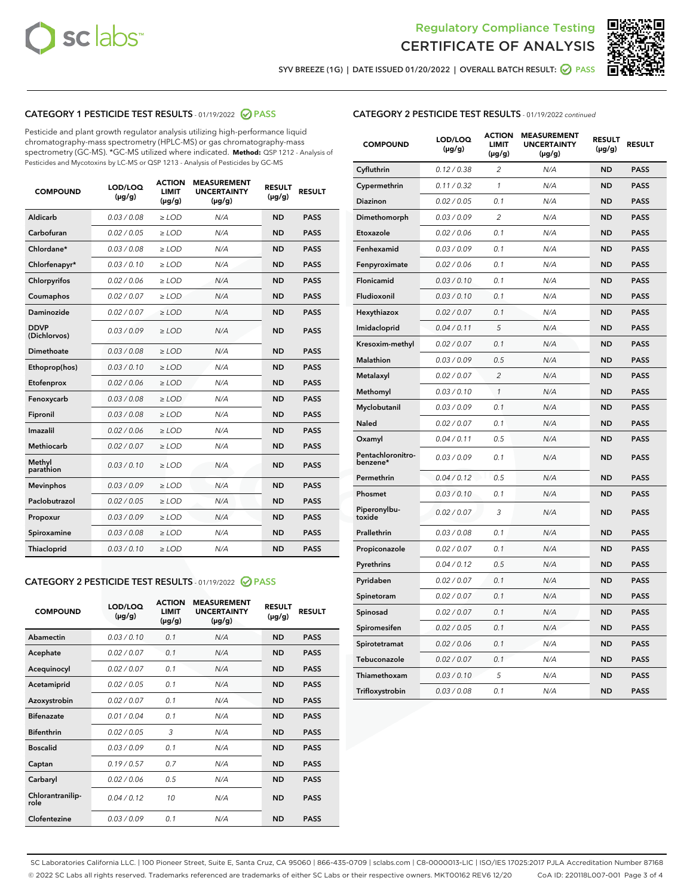



SYV BREEZE (1G) | DATE ISSUED 01/20/2022 | OVERALL BATCH RESULT: @ PASS

# CATEGORY 1 PESTICIDE TEST RESULTS - 01/19/2022 2 PASS

Pesticide and plant growth regulator analysis utilizing high-performance liquid chromatography-mass spectrometry (HPLC-MS) or gas chromatography-mass spectrometry (GC-MS). \*GC-MS utilized where indicated. **Method:** QSP 1212 - Analysis of Pesticides and Mycotoxins by LC-MS or QSP 1213 - Analysis of Pesticides by GC-MS

| <b>COMPOUND</b>             | LOD/LOQ<br>$(\mu g/g)$ | <b>ACTION</b><br><b>LIMIT</b><br>$(\mu g/g)$ | <b>MEASUREMENT</b><br><b>UNCERTAINTY</b><br>$(\mu g/g)$ | <b>RESULT</b><br>$(\mu g/g)$ | <b>RESULT</b> |
|-----------------------------|------------------------|----------------------------------------------|---------------------------------------------------------|------------------------------|---------------|
| Aldicarb                    | 0.03 / 0.08            | $\ge$ LOD                                    | N/A                                                     | <b>ND</b>                    | <b>PASS</b>   |
| Carbofuran                  | 0.02/0.05              | $>$ LOD                                      | N/A                                                     | <b>ND</b>                    | <b>PASS</b>   |
| Chlordane*                  | 0.03 / 0.08            | $\ge$ LOD                                    | N/A                                                     | <b>ND</b>                    | <b>PASS</b>   |
| Chlorfenapyr*               | 0.03/0.10              | $\ge$ LOD                                    | N/A                                                     | <b>ND</b>                    | <b>PASS</b>   |
| Chlorpyrifos                | 0.02 / 0.06            | $\ge$ LOD                                    | N/A                                                     | <b>ND</b>                    | <b>PASS</b>   |
| Coumaphos                   | 0.02 / 0.07            | $>$ LOD                                      | N/A                                                     | <b>ND</b>                    | <b>PASS</b>   |
| Daminozide                  | 0.02 / 0.07            | $\ge$ LOD                                    | N/A                                                     | <b>ND</b>                    | <b>PASS</b>   |
| <b>DDVP</b><br>(Dichlorvos) | 0.03/0.09              | $\ge$ LOD                                    | N/A                                                     | <b>ND</b>                    | <b>PASS</b>   |
| <b>Dimethoate</b>           | 0.03/0.08              | $\ge$ LOD                                    | N/A                                                     | <b>ND</b>                    | <b>PASS</b>   |
| Ethoprop(hos)               | 0.03/0.10              | $\ge$ LOD                                    | N/A                                                     | <b>ND</b>                    | <b>PASS</b>   |
| Etofenprox                  | 0.02/0.06              | $>$ LOD                                      | N/A                                                     | <b>ND</b>                    | <b>PASS</b>   |
| Fenoxycarb                  | 0.03 / 0.08            | $\ge$ LOD                                    | N/A                                                     | <b>ND</b>                    | <b>PASS</b>   |
| Fipronil                    | 0.03 / 0.08            | $>$ LOD                                      | N/A                                                     | <b>ND</b>                    | <b>PASS</b>   |
| Imazalil                    | 0.02 / 0.06            | $\ge$ LOD                                    | N/A                                                     | <b>ND</b>                    | <b>PASS</b>   |
| Methiocarb                  | 0.02 / 0.07            | $\ge$ LOD                                    | N/A                                                     | <b>ND</b>                    | <b>PASS</b>   |
| Methyl<br>parathion         | 0.03/0.10              | $\ge$ LOD                                    | N/A                                                     | <b>ND</b>                    | <b>PASS</b>   |
| <b>Mevinphos</b>            | 0.03/0.09              | $>$ LOD                                      | N/A                                                     | <b>ND</b>                    | <b>PASS</b>   |
| Paclobutrazol               | 0.02 / 0.05            | $\ge$ LOD                                    | N/A                                                     | <b>ND</b>                    | <b>PASS</b>   |
| Propoxur                    | 0.03 / 0.09            | $\ge$ LOD                                    | N/A                                                     | <b>ND</b>                    | <b>PASS</b>   |
| Spiroxamine                 | 0.03 / 0.08            | $\ge$ LOD                                    | N/A                                                     | <b>ND</b>                    | <b>PASS</b>   |
| <b>Thiacloprid</b>          | 0.03/0.10              | $\ge$ LOD                                    | N/A                                                     | <b>ND</b>                    | <b>PASS</b>   |

# CATEGORY 2 PESTICIDE TEST RESULTS - 01/19/2022 2 PASS

| <b>COMPOUND</b>          | LOD/LOQ<br>$(\mu g/g)$ | <b>ACTION</b><br><b>LIMIT</b><br>$(\mu g/g)$ | <b>MEASUREMENT</b><br><b>UNCERTAINTY</b><br>$(\mu g/g)$ | <b>RESULT</b><br>$(\mu g/g)$ | <b>RESULT</b> |
|--------------------------|------------------------|----------------------------------------------|---------------------------------------------------------|------------------------------|---------------|
| Abamectin                | 0.03/0.10              | 0.1                                          | N/A                                                     | <b>ND</b>                    | <b>PASS</b>   |
| Acephate                 | 0.02/0.07              | 0.1                                          | N/A                                                     | <b>ND</b>                    | <b>PASS</b>   |
| Acequinocyl              | 0.02/0.07              | 0.1                                          | N/A                                                     | <b>ND</b>                    | <b>PASS</b>   |
| Acetamiprid              | 0.02/0.05              | 0.1                                          | N/A                                                     | <b>ND</b>                    | <b>PASS</b>   |
| Azoxystrobin             | 0.02/0.07              | 0.1                                          | N/A                                                     | <b>ND</b>                    | <b>PASS</b>   |
| <b>Bifenazate</b>        | 0.01/0.04              | 0.1                                          | N/A                                                     | <b>ND</b>                    | <b>PASS</b>   |
| <b>Bifenthrin</b>        | 0.02 / 0.05            | 3                                            | N/A                                                     | <b>ND</b>                    | <b>PASS</b>   |
| <b>Boscalid</b>          | 0.03/0.09              | 0.1                                          | N/A                                                     | <b>ND</b>                    | <b>PASS</b>   |
| Captan                   | 0.19/0.57              | 0.7                                          | N/A                                                     | <b>ND</b>                    | <b>PASS</b>   |
| Carbaryl                 | 0.02/0.06              | 0.5                                          | N/A                                                     | <b>ND</b>                    | <b>PASS</b>   |
| Chlorantranilip-<br>role | 0.04/0.12              | 10                                           | N/A                                                     | <b>ND</b>                    | <b>PASS</b>   |
| Clofentezine             | 0.03/0.09              | 0.1                                          | N/A                                                     | <b>ND</b>                    | <b>PASS</b>   |

| <b>CATEGORY 2 PESTICIDE TEST RESULTS</b> - 01/19/2022 continued |  |
|-----------------------------------------------------------------|--|
|-----------------------------------------------------------------|--|

| <b>COMPOUND</b>               | LOD/LOQ<br>(µg/g) | <b>ACTION</b><br>LIMIT<br>$(\mu g/g)$ | <b>MEASUREMENT</b><br><b>UNCERTAINTY</b><br>$(\mu g/g)$ | <b>RESULT</b><br>(µg/g) | <b>RESULT</b> |
|-------------------------------|-------------------|---------------------------------------|---------------------------------------------------------|-------------------------|---------------|
| Cyfluthrin                    | 0.12 / 0.38       | $\overline{c}$                        | N/A                                                     | ND                      | <b>PASS</b>   |
| Cypermethrin                  | 0.11 / 0.32       | $\mathbf{1}$                          | N/A                                                     | ND                      | <b>PASS</b>   |
| <b>Diazinon</b>               | 0.02 / 0.05       | 0.1                                   | N/A                                                     | <b>ND</b>               | <b>PASS</b>   |
| Dimethomorph                  | 0.03 / 0.09       | $\overline{c}$                        | N/A                                                     | <b>ND</b>               | <b>PASS</b>   |
| Etoxazole                     | 0.02 / 0.06       | 0.1                                   | N/A                                                     | ND                      | <b>PASS</b>   |
| Fenhexamid                    | 0.03/0.09         | 0.1                                   | N/A                                                     | ND                      | <b>PASS</b>   |
| Fenpyroximate                 | 0.02 / 0.06       | 0.1                                   | N/A                                                     | <b>ND</b>               | <b>PASS</b>   |
| Flonicamid                    | 0.03 / 0.10       | 0.1                                   | N/A                                                     | <b>ND</b>               | <b>PASS</b>   |
| Fludioxonil                   | 0.03 / 0.10       | 0.1                                   | N/A                                                     | ND                      | <b>PASS</b>   |
| Hexythiazox                   | 0.02 / 0.07       | 0.1                                   | N/A                                                     | <b>ND</b>               | <b>PASS</b>   |
| Imidacloprid                  | 0.04 / 0.11       | 5                                     | N/A                                                     | ND                      | <b>PASS</b>   |
| Kresoxim-methyl               | 0.02 / 0.07       | 0.1                                   | N/A                                                     | ND                      | <b>PASS</b>   |
| <b>Malathion</b>              | 0.03 / 0.09       | 0.5                                   | N/A                                                     | <b>ND</b>               | <b>PASS</b>   |
| Metalaxyl                     | 0.02 / 0.07       | $\overline{2}$                        | N/A                                                     | <b>ND</b>               | <b>PASS</b>   |
| Methomyl                      | 0.03 / 0.10       | $\mathbf{1}$                          | N/A                                                     | <b>ND</b>               | <b>PASS</b>   |
| Myclobutanil                  | 0.03 / 0.09       | 0.1                                   | N/A                                                     | ND                      | <b>PASS</b>   |
| <b>Naled</b>                  | 0.02 / 0.07       | 0.1                                   | N/A                                                     | <b>ND</b>               | <b>PASS</b>   |
| Oxamyl                        | 0.04 / 0.11       | 0.5                                   | N/A                                                     | ND                      | <b>PASS</b>   |
| Pentachloronitro-<br>benzene* | 0.03 / 0.09       | 0.1                                   | N/A                                                     | <b>ND</b>               | <b>PASS</b>   |
| Permethrin                    | 0.04/0.12         | 0.5                                   | N/A                                                     | ND                      | <b>PASS</b>   |
| Phosmet                       | 0.03 / 0.10       | 0.1                                   | N/A                                                     | <b>ND</b>               | <b>PASS</b>   |
| Piperonylbu-<br>toxide        | 0.02 / 0.07       | 3                                     | N/A                                                     | ND                      | <b>PASS</b>   |
| Prallethrin                   | 0.03 / 0.08       | 0.1                                   | N/A                                                     | <b>ND</b>               | <b>PASS</b>   |
| Propiconazole                 | 0.02 / 0.07       | 0.1                                   | N/A                                                     | <b>ND</b>               | <b>PASS</b>   |
| Pyrethrins                    | 0.04 / 0.12       | 0.5                                   | N/A                                                     | ND                      | <b>PASS</b>   |
| Pyridaben                     | 0.02 / 0.07       | 0.1                                   | N/A                                                     | <b>ND</b>               | <b>PASS</b>   |
| Spinetoram                    | 0.02 / 0.07       | 0.1                                   | N/A                                                     | ND                      | <b>PASS</b>   |
| Spinosad                      | 0.02 / 0.07       | 0.1                                   | N/A                                                     | ND                      | <b>PASS</b>   |
| Spiromesifen                  | 0.02 / 0.05       | 0.1                                   | N/A                                                     | ND                      | <b>PASS</b>   |
| Spirotetramat                 | 0.02 / 0.06       | 0.1                                   | N/A                                                     | ND                      | <b>PASS</b>   |
| Tebuconazole                  | 0.02 / 0.07       | 0.1                                   | N/A                                                     | ND                      | <b>PASS</b>   |
| Thiamethoxam                  | 0.03 / 0.10       | 5                                     | N/A                                                     | ND                      | <b>PASS</b>   |
| Trifloxystrobin               | 0.03 / 0.08       | 0.1                                   | N/A                                                     | <b>ND</b>               | <b>PASS</b>   |

SC Laboratories California LLC. | 100 Pioneer Street, Suite E, Santa Cruz, CA 95060 | 866-435-0709 | sclabs.com | C8-0000013-LIC | ISO/IES 17025:2017 PJLA Accreditation Number 87168 © 2022 SC Labs all rights reserved. Trademarks referenced are trademarks of either SC Labs or their respective owners. MKT00162 REV6 12/20 CoA ID: 220118L007-001 Page 3 of 4